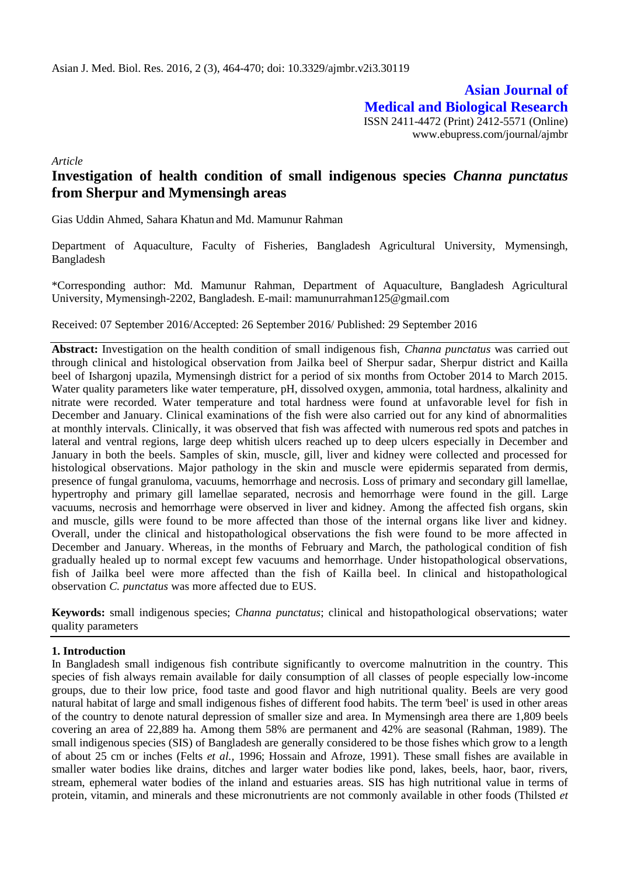**Asian Journal of Medical and Biological Research** ISSN 2411-4472 (Print) 2412-5571 (Online) www.ebupress.com/journal/ajmbr

*Article*

# **Investigation of health condition of small indigenous species** *Channa punctatus* **from Sherpur and Mymensingh areas**

Gias Uddin Ahmed, Sahara Khatun and Md. Mamunur Rahman

Department of Aquaculture, Faculty of Fisheries, Bangladesh Agricultural University, Mymensingh, Bangladesh

\*Corresponding author: Md. Mamunur Rahman, Department of Aquaculture, Bangladesh Agricultural University, Mymensingh-2202, Bangladesh. E-mail: mamunurrahman125@gmail.com

Received: 07 September 2016/Accepted: 26 September 2016/ Published: 29 September 2016

**Abstract:** Investigation on the health condition of small indigenous fish, *Channa punctatus* was carried out through clinical and histological observation from Jailka beel of Sherpur sadar, Sherpur district and Kailla beel of Ishargonj upazila, Mymensingh district for a period of six months from October 2014 to March 2015. Water quality parameters like water temperature, pH, dissolved oxygen, ammonia, total hardness, alkalinity and nitrate were recorded. Water temperature and total hardness were found at unfavorable level for fish in December and January. Clinical examinations of the fish were also carried out for any kind of abnormalities at monthly intervals. Clinically, it was observed that fish was affected with numerous red spots and patches in lateral and ventral regions, large deep whitish ulcers reached up to deep ulcers especially in December and January in both the beels. Samples of skin, muscle, gill, liver and kidney were collected and processed for histological observations. Major pathology in the skin and muscle were epidermis separated from dermis, presence of fungal granuloma, vacuums, hemorrhage and necrosis. Loss of primary and secondary gill lamellae, hypertrophy and primary gill lamellae separated, necrosis and hemorrhage were found in the gill. Large vacuums, necrosis and hemorrhage were observed in liver and kidney. Among the affected fish organs, skin and muscle, gills were found to be more affected than those of the internal organs like liver and kidney. Overall, under the clinical and histopathological observations the fish were found to be more affected in December and January. Whereas, in the months of February and March, the pathological condition of fish gradually healed up to normal except few vacuums and hemorrhage. Under histopathological observations, fish of Jailka beel were more affected than the fish of Kailla beel. In clinical and histopathological observation *C. punctatus* was more affected due to EUS*.*

**Keywords:** small indigenous species; *Channa punctatus*; clinical and histopathological observations; water quality parameters

## **1. Introduction**

In Bangladesh small indigenous fish contribute significantly to overcome malnutrition in the country. This species of fish always remain available for daily consumption of all classes of people especially low-income groups, due to their low price, food taste and good flavor and high nutritional quality. Beels are very good natural habitat of large and small indigenous fishes of different food habits. The term 'beel' is used in other areas of the country to denote natural depression of smaller size and area. In Mymensingh area there are 1,809 beels covering an area of 22,889 ha. Among them 58% are permanent and 42% are seasonal (Rahman, 1989). The small indigenous species (SIS) of Bangladesh are generally considered to be those fishes which grow to a length of about 25 cm or inches (Felts *et al.,* 1996; Hossain and Afroze, 1991). These small fishes are available in smaller water bodies like drains, ditches and larger water bodies like pond, lakes, beels, haor, baor, rivers, stream, ephemeral water bodies of the inland and estuaries areas. SIS has high nutritional value in terms of protein, vitamin, and minerals and these micronutrients are not commonly available in other foods (Thilsted *et*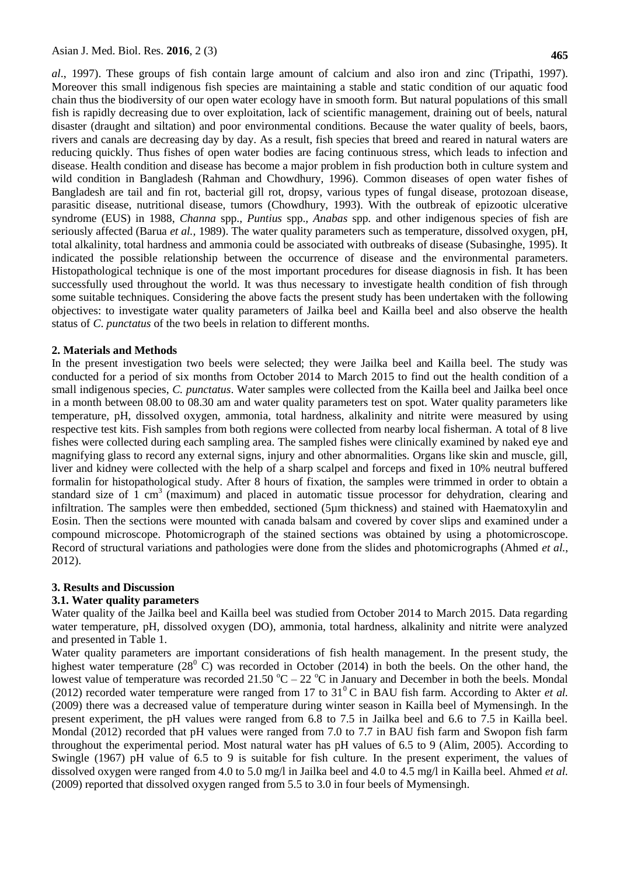*al*., 1997). These groups of fish contain large amount of calcium and also iron and zinc (Tripathi, 1997). Moreover this small indigenous fish species are maintaining a stable and static condition of our aquatic food chain thus the biodiversity of our open water ecology have in smooth form. But natural populations of this small fish is rapidly decreasing due to over exploitation, lack of scientific management, draining out of beels, natural disaster (draught and siltation) and poor environmental conditions. Because the water quality of beels, baors, rivers and canals are decreasing day by day. As a result, fish species that breed and reared in natural waters are reducing quickly. Thus fishes of open water bodies are facing continuous stress, which leads to infection and disease. Health condition and disease has become a major problem in fish production both in culture system and wild condition in Bangladesh (Rahman and Chowdhury, 1996). Common diseases of open water fishes of Bangladesh are tail and fin rot, bacterial gill rot, dropsy, various types of fungal disease, protozoan disease, parasitic disease, nutritional disease, tumors (Chowdhury, 1993). With the outbreak of epizootic ulcerative syndrome (EUS) in 1988, *Channa* spp., *Puntius* spp.*, Anabas* spp*.* and other indigenous species of fish are seriously affected (Barua *et al.,* 1989). The water quality parameters such as temperature, dissolved oxygen, pH, total alkalinity, total hardness and ammonia could be associated with outbreaks of disease (Subasinghe, 1995). It indicated the possible relationship between the occurrence of disease and the environmental parameters. Histopathological technique is one of the most important procedures for disease diagnosis in fish. It has been successfully used throughout the world. It was thus necessary to investigate health condition of fish through some suitable techniques. Considering the above facts the present study has been undertaken with the following objectives: to investigate water quality parameters of Jailka beel and Kailla beel and also observe the health status of *C*. *punctatus* of the two beels in relation to different months.

#### **2. Materials and Methods**

In the present investigation two beels were selected; they were Jailka beel and Kailla beel. The study was conducted for a period of six months from October 2014 to March 2015 to find out the health condition of a small indigenous species, *C. punctatus*. Water samples were collected from the Kailla beel and Jailka beel once in a month between 08.00 to 08.30 am and water quality parameters test on spot. Water quality parameters like temperature, pH, dissolved oxygen, ammonia, total hardness, alkalinity and nitrite were measured by using respective test kits. Fish samples from both regions were collected from nearby local fisherman. A total of 8 live fishes were collected during each sampling area. The sampled fishes were clinically examined by naked eye and magnifying glass to record any external signs, injury and other abnormalities. Organs like skin and muscle, gill, liver and kidney were collected with the help of a sharp scalpel and forceps and fixed in 10% neutral buffered formalin for histopathological study. After 8 hours of fixation, the samples were trimmed in order to obtain a standard size of 1 cm<sup>3</sup> (maximum) and placed in automatic tissue processor for dehydration, clearing and infiltration. The samples were then embedded, sectioned (5µm thickness) and stained with Haematoxylin and Eosin. Then the sections were mounted with canada balsam and covered by cover slips and examined under a compound microscope. Photomicrograph of the stained sections was obtained by using a photomicroscope. Record of structural variations and pathologies were done from the slides and photomicrographs (Ahmed *et al.*, 2012).

## **3. Results and Discussion**

## **3.1. Water quality parameters**

Water quality of the Jailka beel and Kailla beel was studied from October 2014 to March 2015. Data regarding water temperature, pH, dissolved oxygen (DO), ammonia, total hardness, alkalinity and nitrite were analyzed and presented in Table 1.

Water quality parameters are important considerations of fish health management. In the present study, the highest water temperature  $(28^{\circ}$  C) was recorded in October (2014) in both the beels. On the other hand, the lowest value of temperature was recorded 21.50  $^{\circ}C - 22$   $^{\circ}C$  in January and December in both the beels. Mondal (2012) recorded water temperature were ranged from 17 to  $31^{\circ}$ C in BAU fish farm. According to Akter *et al.* (2009) there was a decreased value of temperature during winter season in Kailla beel of Mymensingh. In the present experiment, the pH values were ranged from 6.8 to 7.5 in Jailka beel and 6.6 to 7.5 in Kailla beel. Mondal (2012) recorded that pH values were ranged from 7.0 to 7.7 in BAU fish farm and Swopon fish farm throughout the experimental period. Most natural water has pH values of 6.5 to 9 (Alim, 2005). According to Swingle (1967) pH value of 6.5 to 9 is suitable for fish culture. In the present experiment, the values of dissolved oxygen were ranged from 4.0 to 5.0 mg/l in Jailka beel and 4.0 to 4.5 mg/l in Kailla beel. Ahmed *et al.* (2009) reported that dissolved oxygen ranged from 5.5 to 3.0 in four beels of Mymensingh.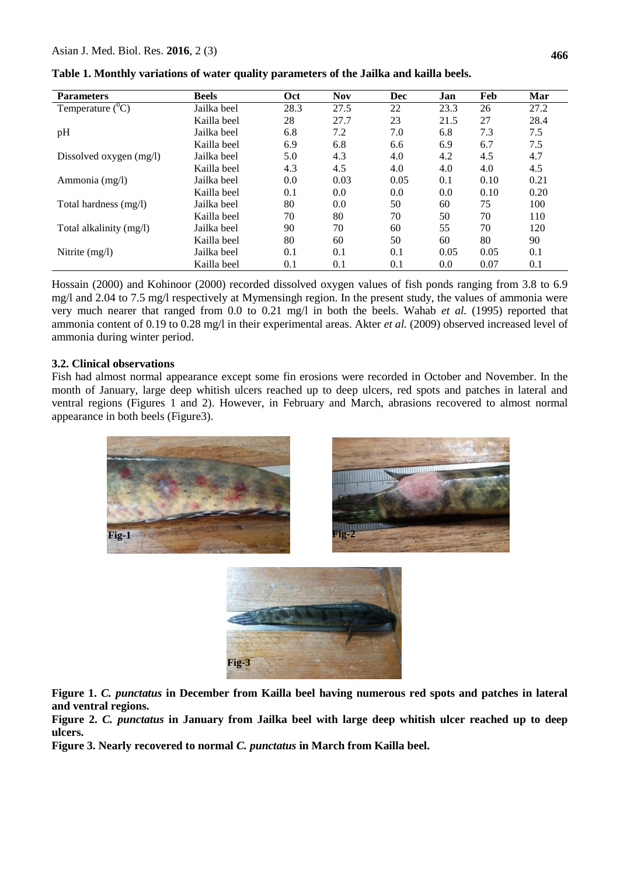| <b>Parameters</b>         | <b>Beels</b> | Oct  | <b>Nov</b> | Dec  | Jan  | Feb  | Mar  |
|---------------------------|--------------|------|------------|------|------|------|------|
| Temperature $(^0C)$       | Jailka beel  | 28.3 | 27.5       | 22   | 23.3 | 26   | 27.2 |
|                           | Kailla beel  | 28   | 27.7       | 23   | 21.5 | 27   | 28.4 |
| pH                        | Jailka beel  | 6.8  | 7.2        | 7.0  | 6.8  | 7.3  | 7.5  |
|                           | Kailla beel  | 6.9  | 6.8        | 6.6  | 6.9  | 6.7  | 7.5  |
| Dissolved oxygen $(mg/l)$ | Jailka beel  | 5.0  | 4.3        | 4.0  | 4.2  | 4.5  | 4.7  |
|                           | Kailla beel  | 4.3  | 4.5        | 4.0  | 4.0  | 4.0  | 4.5  |
| Ammonia (mg/l)            | Jailka beel  | 0.0  | 0.03       | 0.05 | 0.1  | 0.10 | 0.21 |
|                           | Kailla beel  | 0.1  | 0.0        | 0.0  | 0.0  | 0.10 | 0.20 |
| Total hardness (mg/l)     | Jailka beel  | 80   | 0.0        | 50   | 60   | 75   | 100  |
|                           | Kailla beel  | 70   | 80         | 70   | 50   | 70   | 110  |
| Total alkalinity (mg/l)   | Jailka beel  | 90   | 70         | 60   | 55   | 70   | 120  |
|                           | Kailla beel  | 80   | 60         | 50   | 60   | 80   | 90   |
| Nitrite $(mg/l)$          | Jailka beel  | 0.1  | 0.1        | 0.1  | 0.05 | 0.05 | 0.1  |
|                           | Kailla beel  | 0.1  | 0.1        | 0.1  | 0.0  | 0.07 | 0.1  |

**Table 1. Monthly variations of water quality parameters of the Jailka and kailla beels.**

Hossain (2000) and Kohinoor (2000) recorded dissolved oxygen values of fish ponds ranging from 3.8 to 6.9 mg/l and 2.04 to 7.5 mg/l respectively at Mymensingh region. In the present study, the values of ammonia were very much nearer that ranged from 0.0 to 0.21 mg/l in both the beels. Wahab *et al.* (1995) reported that ammonia content of 0.19 to 0.28 mg/l in their experimental areas. Akter *et al.* (2009) observed increased level of ammonia during winter period.

## **3.2. Clinical observations**

Fish had almost normal appearance except some fin erosions were recorded in October and November. In the month of January, large deep whitish ulcers reached up to deep ulcers, red spots and patches in lateral and ventral regions (Figures 1 and 2). However, in February and March, abrasions recovered to almost normal appearance in both beels (Figure3).





**Figure 1.** *C. punctatus* **in December from Kailla beel having numerous red spots and patches in lateral and ventral regions.**

**Figure 2.** *C. punctatus* **in January from Jailka beel with large deep whitish ulcer reached up to deep ulcers.** 

**Figure 3. Nearly recovered to normal** *C. punctatus* **in March from Kailla beel.**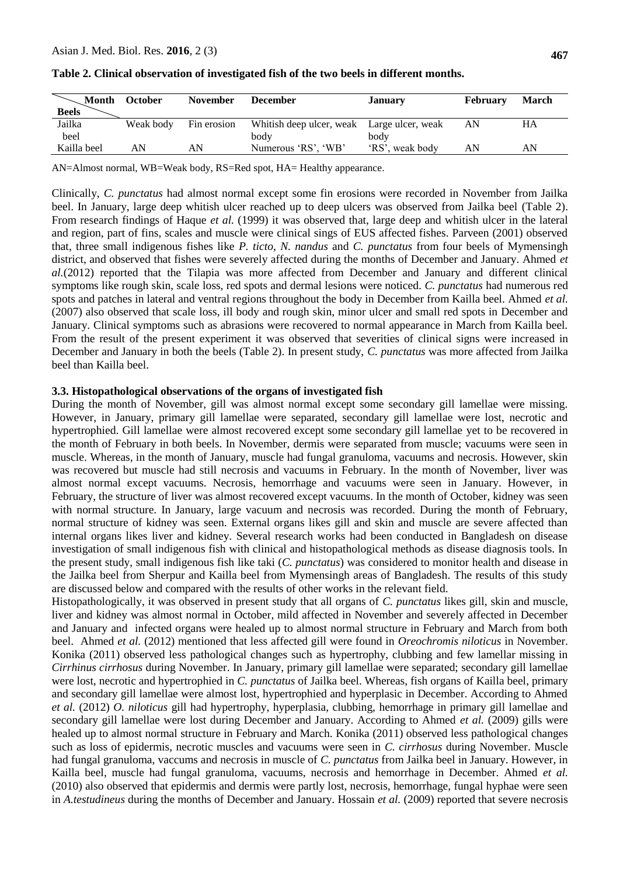| <b>Month</b><br><b>Beels</b> | October   | <b>November</b> | <b>December</b>                            | <b>January</b>  | <b>February</b> | <b>March</b> |
|------------------------------|-----------|-----------------|--------------------------------------------|-----------------|-----------------|--------------|
| Jailka                       | Weak body | Fin erosion     | Whitish deep ulcer, weak Large ulcer, weak |                 | AN              | HA           |
| beel                         |           |                 | body                                       | body            |                 |              |
| Kailla beel                  | AN        | AN              | Numerous 'RS', 'WB'                        | 'RS', weak body | AN              | AN           |

| Table 2. Clinical observation of investigated fish of the two beels in different months. |  |  |  |  |  |  |  |  |  |  |
|------------------------------------------------------------------------------------------|--|--|--|--|--|--|--|--|--|--|
|------------------------------------------------------------------------------------------|--|--|--|--|--|--|--|--|--|--|

AN=Almost normal, WB=Weak body, RS=Red spot, HA= Healthy appearance.

Clinically, *C. punctatus* had almost normal except some fin erosions were recorded in November from Jailka beel. In January, large deep whitish ulcer reached up to deep ulcers was observed from Jailka beel (Table 2). From research findings of Haque *et al.* (1999) it was observed that, large deep and whitish ulcer in the lateral and region, part of fins, scales and muscle were clinical sings of EUS affected fishes. Parveen (2001) observed that, three small indigenous fishes like *P. ticto*, *N. nandus* and *C. punctatus* from four beels of Mymensingh district, and observed that fishes were severely affected during the months of December and January. Ahmed *et al.*(2012) reported that the Tilapia was more affected from December and January and different clinical symptoms like rough skin, scale loss, red spots and dermal lesions were noticed. *C. punctatus* had numerous red spots and patches in lateral and ventral regions throughout the body in December from Kailla beel. Ahmed *et al.* (2007) also observed that scale loss, ill body and rough skin, minor ulcer and small red spots in December and January. Clinical symptoms such as abrasions were recovered to normal appearance in March from Kailla beel. From the result of the present experiment it was observed that severities of clinical signs were increased in December and January in both the beels (Table 2). In present study, *C. punctatus* was more affected from Jailka beel than Kailla beel.

#### **3.3. Histopathological observations of the organs of investigated fish**

During the month of November, gill was almost normal except some secondary gill lamellae were missing. However, in January, primary gill lamellae were separated, secondary gill lamellae were lost, necrotic and hypertrophied. Gill lamellae were almost recovered except some secondary gill lamellae yet to be recovered in the month of February in both beels. In November, dermis were separated from muscle; vacuums were seen in muscle. Whereas, in the month of January, muscle had fungal granuloma, vacuums and necrosis. However, skin was recovered but muscle had still necrosis and vacuums in February. In the month of November, liver was almost normal except vacuums. Necrosis, hemorrhage and vacuums were seen in January. However, in February, the structure of liver was almost recovered except vacuums. In the month of October, kidney was seen with normal structure. In January, large vacuum and necrosis was recorded. During the month of February, normal structure of kidney was seen. External organs likes gill and skin and muscle are severe affected than internal organs likes liver and kidney. Several research works had been conducted in Bangladesh on disease investigation of small indigenous fish with clinical and histopathological methods as disease diagnosis tools. In the present study, small indigenous fish like taki (*C. punctatus*) was considered to monitor health and disease in the Jailka beel from Sherpur and Kailla beel from Mymensingh areas of Bangladesh. The results of this study are discussed below and compared with the results of other works in the relevant field.

Histopathologically, it was observed in present study that all organs of *C. punctatus* likes gill, skin and muscle, liver and kidney was almost normal in October, mild affected in November and severely affected in December and January and infected organs were healed up to almost normal structure in February and March from both beel. Ahmed *et al.* (2012) mentioned that less affected gill were found in *Oreochromis niloticus* in November. Konika (2011) observed less pathological changes such as hypertrophy, clubbing and few lamellar missing in *Cirrhinus cirrhosus* during November. In January, primary gill lamellae were separated; secondary gill lamellae were lost, necrotic and hypertrophied in *C. punctatus* of Jailka beel. Whereas, fish organs of Kailla beel, primary and secondary gill lamellae were almost lost, hypertrophied and hyperplasic in December. According to Ahmed *et al.* (2012) *O. niloticus* gill had hypertrophy, hyperplasia, clubbing, hemorrhage in primary gill lamellae and secondary gill lamellae were lost during December and January. According to Ahmed *et al.* (2009) gills were healed up to almost normal structure in February and March. Konika (2011) observed less pathological changes such as loss of epidermis, necrotic muscles and vacuums were seen in *C. cirrhosus* during November. Muscle had fungal granuloma, vaccums and necrosis in muscle of *C. punctatus* from Jailka beel in January. However, in Kailla beel, muscle had fungal granuloma, vacuums, necrosis and hemorrhage in December. Ahmed *et al.*  (2010) also observed that epidermis and dermis were partly lost, necrosis, hemorrhage, fungal hyphae were seen in *A.testudineus* during the months of December and January. Hossain *et al.* (2009) reported that severe necrosis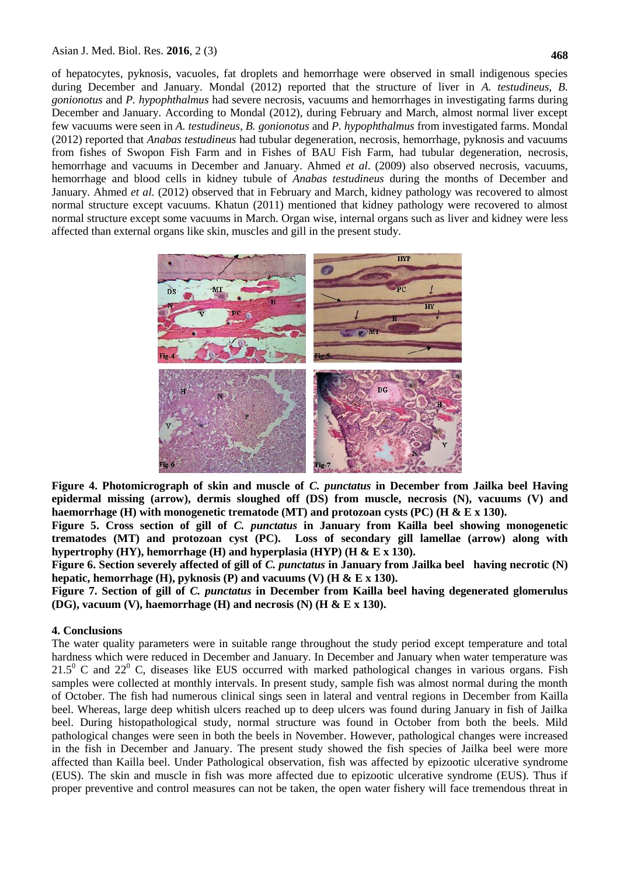#### Asian J. Med. Biol. Res. **2016**, 2 (3)

of hepatocytes, pyknosis, vacuoles, fat droplets and hemorrhage were observed in small indigenous species during December and January. Mondal (2012) reported that the structure of liver in *A. testudineus, B. gonionotus* and *P. hypophthalmus* had severe necrosis, vacuums and hemorrhages in investigating farms during December and January. According to Mondal (2012), during February and March, almost normal liver except few vacuums were seen in *A. testudineus, B. gonionotus* and *P. hypophthalmus* from investigated farms. Mondal (2012) reported that *Anabas testudineus* had tubular degeneration, necrosis, hemorrhage, pyknosis and vacuums from fishes of Swopon Fish Farm and in Fishes of BAU Fish Farm, had tubular degeneration, necrosis, hemorrhage and vacuums in December and January. Ahmed *et al*. (2009) also observed necrosis, vacuums, hemorrhage and blood cells in kidney tubule of *Anabas testudineus* during the months of December and January. Ahmed *et al.* (2012) observed that in February and March, kidney pathology was recovered to almost normal structure except vacuums. Khatun (2011) mentioned that kidney pathology were recovered to almost normal structure except some vacuums in March. Organ wise, internal organs such as liver and kidney were less affected than external organs like skin, muscles and gill in the present study.



**Figure 4. Photomicrograph of skin and muscle of** *C. punctatus* **in December from Jailka beel Having epidermal missing (arrow), dermis sloughed off (DS) from muscle, necrosis (N), vacuums (V) and haemorrhage (H) with monogenetic trematode (MT) and protozoan cysts (PC) (H & E x 130).**

**Figure 5. Cross section of gill of** *C. punctatus* **in January from Kailla beel showing monogenetic trematodes (MT) and protozoan cyst (PC). Loss of secondary gill lamellae (arrow) along with hypertrophy (HY), hemorrhage (H) and hyperplasia (HYP) (H & E x 130).**

**Figure 6. Section severely affected of gill of** *C. punctatus* **in January from Jailka beel having necrotic (N) hepatic, hemorrhage (H), pyknosis (P) and vacuums (V) (H & E x 130).**

**Figure 7. Section of gill of** *C. punctatus* **in December from Kailla beel having degenerated glomerulus (DG), vacuum (V), haemorrhage (H) and necrosis (N) (H & E x 130).**

#### **4. Conclusions**

The water quality parameters were in suitable range throughout the study period except temperature and total hardness which were reduced in December and January. In December and January when water temperature was 21.5<sup>0</sup> C and 22<sup>0</sup> C, diseases like EUS occurred with marked pathological changes in various organs. Fish samples were collected at monthly intervals. In present study, sample fish was almost normal during the month of October. The fish had numerous clinical sings seen in lateral and ventral regions in December from Kailla beel. Whereas, large deep whitish ulcers reached up to deep ulcers was found during January in fish of Jailka beel. During histopathological study, normal structure was found in October from both the beels. Mild pathological changes were seen in both the beels in November. However, pathological changes were increased in the fish in December and January. The present study showed the fish species of Jailka beel were more affected than Kailla beel. Under Pathological observation, fish was affected by epizootic ulcerative syndrome (EUS). The skin and muscle in fish was more affected due to epizootic ulcerative syndrome (EUS). Thus if proper preventive and control measures can not be taken, the open water fishery will face tremendous threat in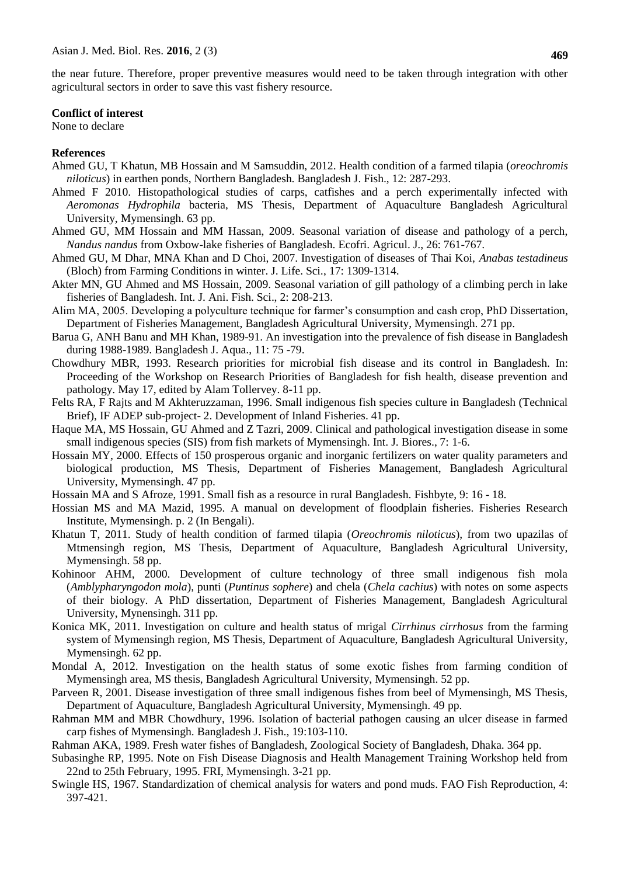#### **Conflict of interest**

None to declare

## **References**

- Ahmed GU, T Khatun, MB Hossain and M Samsuddin, 2012. Health condition of a farmed tilapia (*oreochromis niloticus*) in earthen ponds, Northern Bangladesh. Bangladesh J. Fish., 12: 287-293.
- Ahmed F 2010. Histopathological studies of carps, catfishes and a perch experimentally infected with *Aeromonas Hydrophila* bacteria, MS Thesis, Department of Aquaculture Bangladesh Agricultural University, Mymensingh. 63 pp.
- Ahmed GU, MM Hossain and MM Hassan, 2009. Seasonal variation of disease and pathology of a perch, *Nandus nandus* from Oxbow-lake fisheries of Bangladesh. Ecofri. Agricul. J., 26: 761-767.
- Ahmed GU, M Dhar, MNA Khan and D Choi, 2007. Investigation of diseases of Thai Koi, *Anabas testadineus* (Bloch) from Farming Conditions in winter. J. Life. Sci*.*, 17: 1309-1314.
- Akter MN, GU Ahmed and MS Hossain, 2009. Seasonal variation of gill pathology of a climbing perch in lake fisheries of Bangladesh. Int. J. Ani. Fish. Sci., 2: 208-213.
- Alim MA, 2005. Developing a polyculture technique for farmer's consumption and cash crop, PhD Dissertation, Department of Fisheries Management, Bangladesh Agricultural University, Mymensingh. 271 pp.
- Barua G, ANH Banu and MH Khan, 1989-91. An investigation into the prevalence of fish disease in Bangladesh during 1988-1989. Bangladesh J. Aqua., 11: 75 -79.
- Chowdhury MBR, 1993. Research priorities for microbial fish disease and its control in Bangladesh. In: Proceeding of the Workshop on Research Priorities of Bangladesh for fish health, disease prevention and pathology. May 17, edited by Alam Tollervey. 8-11 pp.
- Felts RA, F Rajts and M Akhteruzzaman, 1996. Small indigenous fish species culture in Bangladesh (Technical Brief), IF ADEP sub-project- 2. Development of Inland Fisheries. 41 pp.
- Haque MA, MS Hossain, GU Ahmed and Z Tazri, 2009. Clinical and pathological investigation disease in some small indigenous species (SIS) from fish markets of Mymensingh. Int. J. Biores., 7: 1-6.
- Hossain MY, 2000. Effects of 150 prosperous organic and inorganic fertilizers on water quality parameters and biological production, MS Thesis, Department of Fisheries Management, Bangladesh Agricultural University, Mymensingh. 47 pp.
- Hossain MA and S Afroze, 1991. Small fish as a resource in rural Bangladesh. Fishbyte, 9: 16 18.
- Hossian MS and MA Mazid, 1995. A manual on development of floodplain fisheries. Fisheries Research Institute, Mymensingh. p. 2 (In Bengali).
- Khatun T, 2011. Study of health condition of farmed tilapia (*Oreochromis niloticus*), from two upazilas of Mtmensingh region, MS Thesis, Department of Aquaculture, Bangladesh Agricultural University, Mymensingh. 58 pp.
- Kohinoor AHM, 2000. Development of culture technology of three small indigenous fish mola (*Amblypharyngodon mola*), punti (*Puntinus sophere*) and chela (*Chela cachius*) with notes on some aspects of their biology. A PhD dissertation, Department of Fisheries Management, Bangladesh Agricultural University, Mynensingh. 311 pp.
- Konica MK, 2011. Investigation on culture and health status of mrigal *Cirrhinus cirrhosus* from the farming system of Mymensingh region, MS Thesis, Department of Aquaculture, Bangladesh Agricultural University, Mymensingh. 62 pp.
- Mondal A, 2012. Investigation on the health status of some exotic fishes from farming condition of Mymensingh area, MS thesis, Bangladesh Agricultural University, Mymensingh. 52 pp.
- Parveen R, 2001. Disease investigation of three small indigenous fishes from beel of Mymensingh, MS Thesis, Department of Aquaculture, Bangladesh Agricultural University, Mymensingh. 49 pp.
- Rahman MM and MBR Chowdhury, 1996. Isolation of bacterial pathogen causing an ulcer disease in farmed carp fishes of Mymensingh. Bangladesh J. Fish., 19:103-110.
- Rahman AKA, 1989. Fresh water fishes of Bangladesh, Zoological Society of Bangladesh, Dhaka. 364 pp.
- Subasinghe RP, 1995. Note on Fish Disease Diagnosis and Health Management Training Workshop held from 22nd to 25th February, 1995. FRI, Mymensingh. 3-21 pp.
- Swingle HS, 1967. Standardization of chemical analysis for waters and pond muds. FAO Fish Reproduction, 4: 397-421.